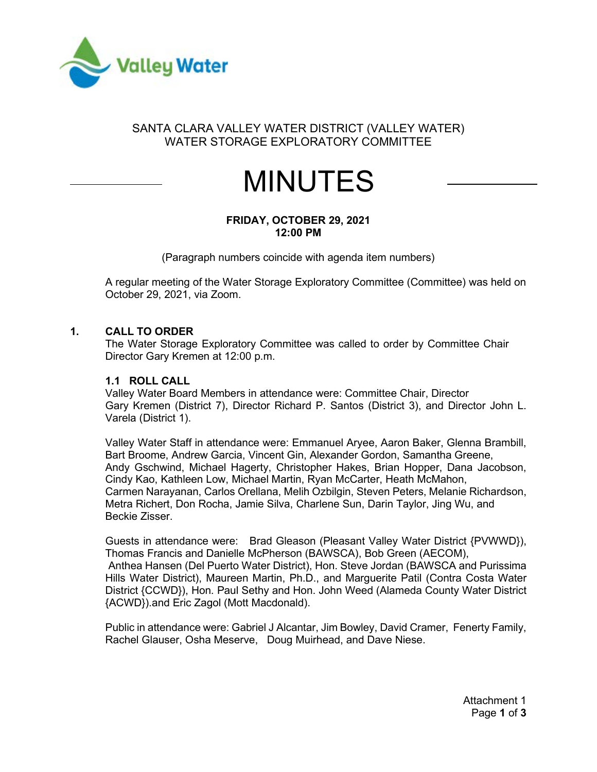

# SANTA CLARA VALLEY WATER DISTRICT (VALLEY WATER) WATER STORAGE EXPLORATORY COMMITTEE

# MINUTES

#### **FRIDAY, OCTOBER 29, 2021 12:00 PM**

(Paragraph numbers coincide with agenda item numbers)

A regular meeting of the Water Storage Exploratory Committee (Committee) was held on October 29, 2021, via Zoom.

#### **1. CALL TO ORDER**

The Water Storage Exploratory Committee was called to order by Committee Chair Director Gary Kremen at 12:00 p.m.

#### **1.1 ROLL CALL**

Valley Water Board Members in attendance were: Committee Chair, Director Gary Kremen (District 7), Director Richard P. Santos (District 3), and Director John L. Varela (District 1).

Valley Water Staff in attendance were: Emmanuel Aryee, Aaron Baker, Glenna Brambill, Bart Broome, Andrew Garcia, Vincent Gin, Alexander Gordon, Samantha Greene, Andy Gschwind, Michael Hagerty, Christopher Hakes, Brian Hopper, Dana Jacobson, Cindy Kao, Kathleen Low, Michael Martin, Ryan McCarter, Heath McMahon, Carmen Narayanan, Carlos Orellana, Melih Ozbilgin, Steven Peters, Melanie Richardson, Metra Richert, Don Rocha, Jamie Silva, Charlene Sun, Darin Taylor, Jing Wu, and Beckie Zisser.

Guests in attendance were: Brad Gleason (Pleasant Valley Water District {PVWWD}), Thomas Francis and Danielle McPherson (BAWSCA), Bob Green (AECOM), Anthea Hansen (Del Puerto Water District), Hon. Steve Jordan (BAWSCA and Purissima Hills Water District), Maureen Martin, Ph.D., and Marguerite Patil (Contra Costa Water District {CCWD}), Hon. Paul Sethy and Hon. John Weed (Alameda County Water District {ACWD}).and Eric Zagol (Mott Macdonald).

Public in attendance were: Gabriel J Alcantar, Jim Bowley, David Cramer, Fenerty Family, Rachel Glauser, Osha Meserve, Doug Muirhead, and Dave Niese.

> Attachment 1 Page **1** of **3**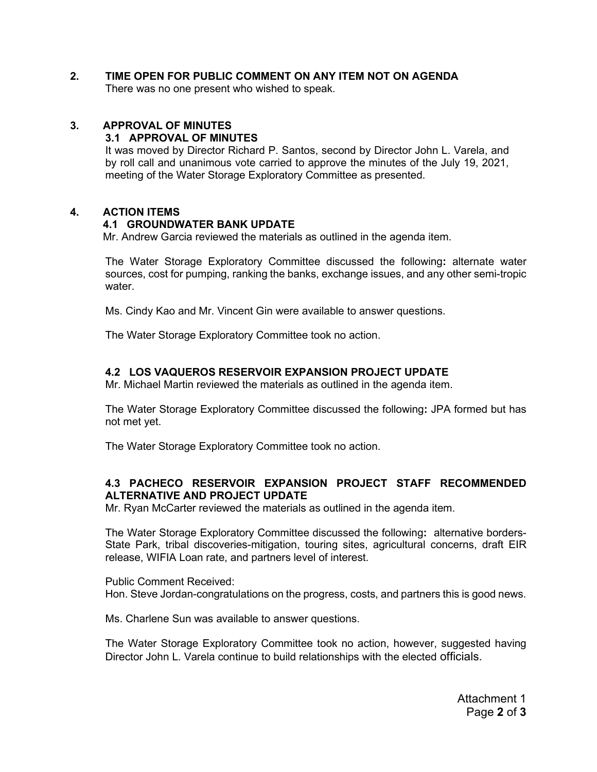# **2. TIME OPEN FOR PUBLIC COMMENT ON ANY ITEM NOT ON AGENDA**

There was no one present who wished to speak.

#### **3. APPROVAL OF MINUTES**

#### **3.1 APPROVAL OF MINUTES**

It was moved by Director Richard P. Santos, second by Director John L. Varela, and by roll call and unanimous vote carried to approve the minutes of the July 19, 2021, meeting of the Water Storage Exploratory Committee as presented.

#### **4. ACTION ITEMS**

#### **4.1 GROUNDWATER BANK UPDATE**

Mr. Andrew Garcia reviewed the materials as outlined in the agenda item.

The Water Storage Exploratory Committee discussed the following**:** alternate water sources, cost for pumping, ranking the banks, exchange issues, and any other semi-tropic water.

Ms. Cindy Kao and Mr. Vincent Gin were available to answer questions.

The Water Storage Exploratory Committee took no action.

#### **4.2 LOS VAQUEROS RESERVOIR EXPANSION PROJECT UPDATE**

Mr. Michael Martin reviewed the materials as outlined in the agenda item.

The Water Storage Exploratory Committee discussed the following**:** JPA formed but has not met yet.

The Water Storage Exploratory Committee took no action.

#### **4.3 PACHECO RESERVOIR EXPANSION PROJECT STAFF RECOMMENDED ALTERNATIVE AND PROJECT UPDATE**

Mr. Ryan McCarter reviewed the materials as outlined in the agenda item.

The Water Storage Exploratory Committee discussed the following**:** alternative borders-State Park, tribal discoveries-mitigation, touring sites, agricultural concerns, draft EIR release, WIFIA Loan rate, and partners level of interest.

Public Comment Received: Hon. Steve Jordan-congratulations on the progress, costs, and partners this is good news.

Ms. Charlene Sun was available to answer questions.

The Water Storage Exploratory Committee took no action, however, suggested having Director John L. Varela continue to build relationships with the elected officials.

> Attachment 1 Page **2** of **3**